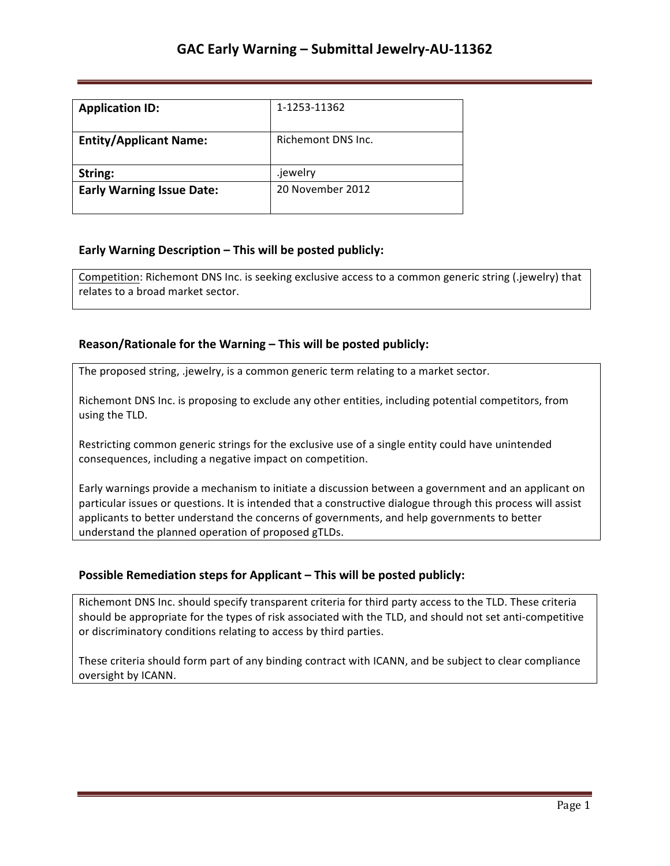| <b>Application ID:</b>           | 1-1253-11362       |
|----------------------------------|--------------------|
| <b>Entity/Applicant Name:</b>    | Richemont DNS Inc. |
| String:                          | .jewelry           |
| <b>Early Warning Issue Date:</b> | 20 November 2012   |

### **Early Warning Description – This will be posted publicly:**

Competition: Richemont DNS Inc. is seeking exclusive access to a common generic string (.jewelry) that relates to a broad market sector.

### **Reason/Rationale for the Warning – This will be posted publicly:**

The proposed string, .jewelry, is a common generic term relating to a market sector.

Richemont DNS Inc. is proposing to exclude any other entities, including potential competitors, from using the TLD.

Restricting common generic strings for the exclusive use of a single entity could have unintended consequences, including a negative impact on competition.

Early warnings provide a mechanism to initiate a discussion between a government and an applicant on particular issues or questions. It is intended that a constructive dialogue through this process will assist applicants to better understand the concerns of governments, and help governments to better understand the planned operation of proposed gTLDs.

## **Possible Remediation steps for Applicant - This will be posted publicly:**

Richemont DNS Inc. should specify transparent criteria for third party access to the TLD. These criteria should be appropriate for the types of risk associated with the TLD, and should not set anti-competitive or discriminatory conditions relating to access by third parties.

These criteria should form part of any binding contract with ICANN, and be subject to clear compliance oversight by ICANN.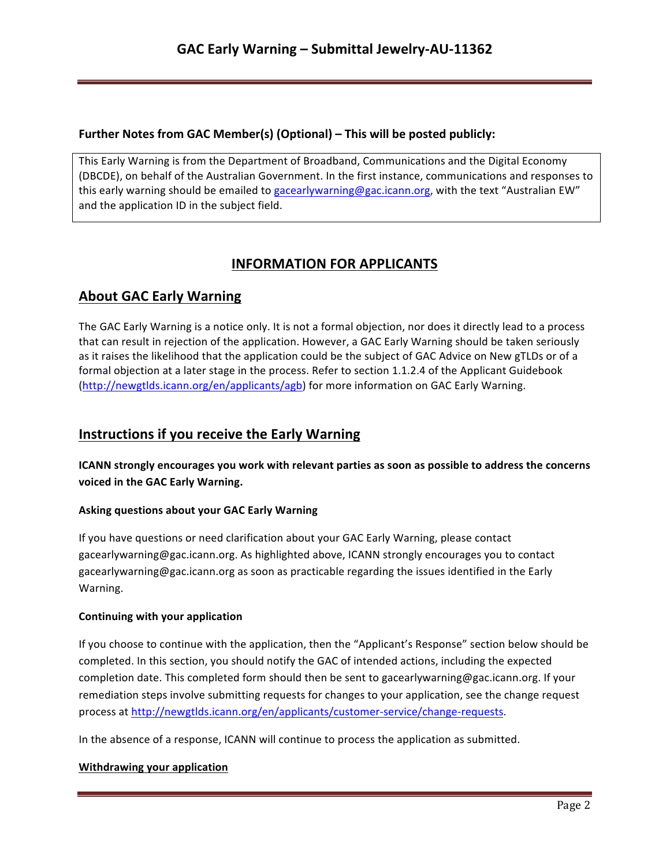## **Further Notes from GAC Member(s) (Optional) – This will be posted publicly:**

This Early Warning is from the Department of Broadband, Communications and the Digital Economy (DBCDE), on behalf of the Australian Government. In the first instance, communications and responses to this early warning should be emailed to gacearlywarning@gac.icann.org, with the text "Australian EW" and the application ID in the subject field.

# **INFORMATION FOR APPLICANTS**

# **About GAC Early Warning**

The GAC Early Warning is a notice only. It is not a formal objection, nor does it directly lead to a process that can result in rejection of the application. However, a GAC Early Warning should be taken seriously as it raises the likelihood that the application could be the subject of GAC Advice on New gTLDs or of a formal objection at a later stage in the process. Refer to section 1.1.2.4 of the Applicant Guidebook (http://newgtlds.icann.org/en/applicants/agb) for more information on GAC Early Warning.

# **Instructions if you receive the Early Warning**

**ICANN** strongly encourages you work with relevant parties as soon as possible to address the concerns voiced in the GAC Early Warning.

### **Asking questions about your GAC Early Warning**

If you have questions or need clarification about your GAC Early Warning, please contact gacearlywarning@gac.icann.org. As highlighted above, ICANN strongly encourages you to contact gacearlywarning@gac.icann.org as soon as practicable regarding the issues identified in the Early Warning. 

#### **Continuing with your application**

If you choose to continue with the application, then the "Applicant's Response" section below should be completed. In this section, you should notify the GAC of intended actions, including the expected completion date. This completed form should then be sent to gacearlywarning@gac.icann.org. If your remediation steps involve submitting requests for changes to your application, see the change request process at http://newgtlds.icann.org/en/applicants/customer-service/change-requests.

In the absence of a response, ICANN will continue to process the application as submitted.

#### **Withdrawing your application**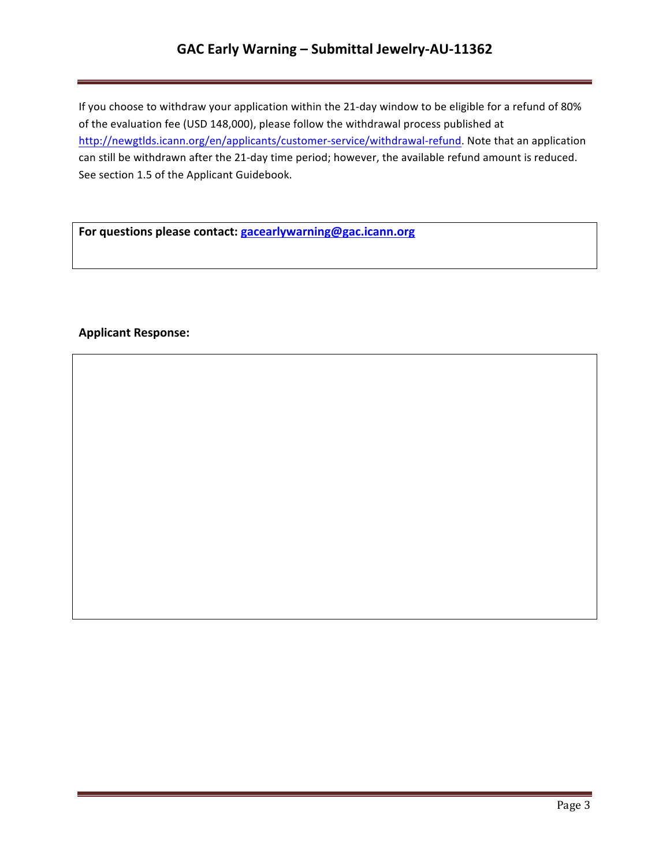# **GAC Early Warning – Submittal Jewelry-AU-11362**

If you choose to withdraw your application within the 21-day window to be eligible for a refund of 80% of the evaluation fee (USD 148,000), please follow the withdrawal process published at http://newgtlds.icann.org/en/applicants/customer-service/withdrawal-refund. Note that an application can still be withdrawn after the 21-day time period; however, the available refund amount is reduced. See section 1.5 of the Applicant Guidebook.

For questions please contact: **gacearlywarning@gac.icann.org** 

### **Applicant Response:**